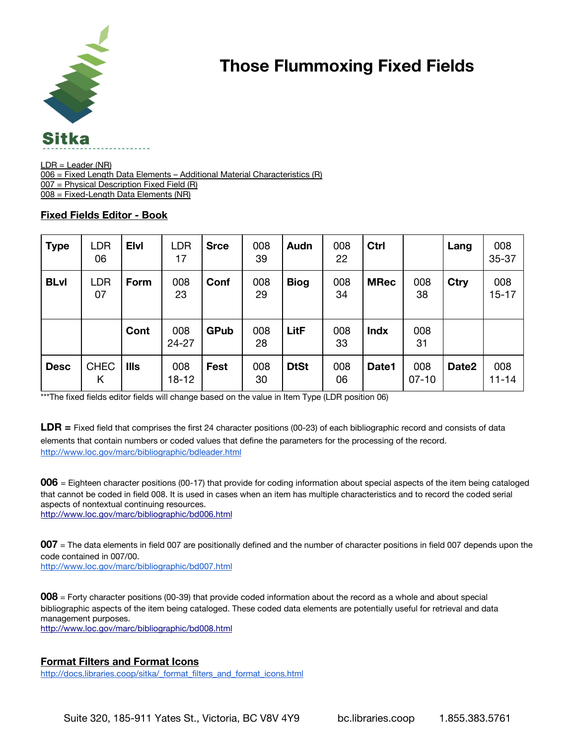

## **Those Flummoxing Fixed Fields**

 $LDR = Leader (NR)$ 006 = Fixed Length Data Elements - Additional Material Characteristics (R) 007 = Physical Description Fixed Field (R) 008 = Fixed-Length Data Elements (NR)

## **Fixed Fields Editor - Book**

| <b>Type</b> | <b>LDR</b><br>06 | <b>Elvi</b> | <b>LDR</b><br>17 | <b>Srce</b> | 008<br>39 | Audn        | 008<br>22 | Ctrl        |                | Lang  | 008<br>35-37     |
|-------------|------------------|-------------|------------------|-------------|-----------|-------------|-----------|-------------|----------------|-------|------------------|
| <b>BLvl</b> | <b>LDR</b><br>07 | Form        | 008<br>23        | Conf        | 008<br>29 | <b>Biog</b> | 008<br>34 | <b>MRec</b> | 008<br>38      | Ctry  | 008<br>$15 - 17$ |
|             |                  | Cont        | 008<br>24-27     | <b>GPub</b> | 008<br>28 | LitF        | 008<br>33 | <b>Indx</b> | 008<br>31      |       |                  |
| <b>Desc</b> | <b>CHEC</b><br>Κ | <b>Ills</b> | 008<br>$18 - 12$ | <b>Fest</b> | 008<br>30 | <b>DtSt</b> | 008<br>06 | Date1       | 008<br>$07-10$ | Date2 | 008<br>$11 - 14$ |

\*\*\*The fixed fields editor fields will change based on the value in Item Type (LDR position 06)

**LDR =** Fixed field that comprises the first 24 character positions (00-23) of each bibliographic record and consists of data elements that contain numbers or coded values that define the parameters for the processing of the record. <http://www.loc.gov/marc/bibliographic/bdleader.html>

**006** = Eighteen character positions (00-17) that provide for coding information about special aspects of the item being cataloged that cannot be coded in field 008. It is used in cases when an item has multiple characteristics and to record the coded serial aspects of nontextual continuing resources.

<http://www.loc.gov/marc/bibliographic/bd006.html>

**007** = The data elements in field 007 are positionally defined and the number of character positions in field 007 depends upon the code contained in 007/00.

<http://www.loc.gov/marc/bibliographic/bd007.html>

**008** = Forty character positions (00-39) that provide coded information about the record as a whole and about special bibliographic aspects of the item being cataloged. These coded data elements are potentially useful for retrieval and data management purposes.

<http://www.loc.gov/marc/bibliographic/bd008.html>

## **Format Filters and Format Icons**

[http://docs.libraries.coop/sitka/\\_format\\_filters\\_and\\_format\\_icons.html](http://docs.libraries.coop/sitka/_format_filters_and_format_icons.html)